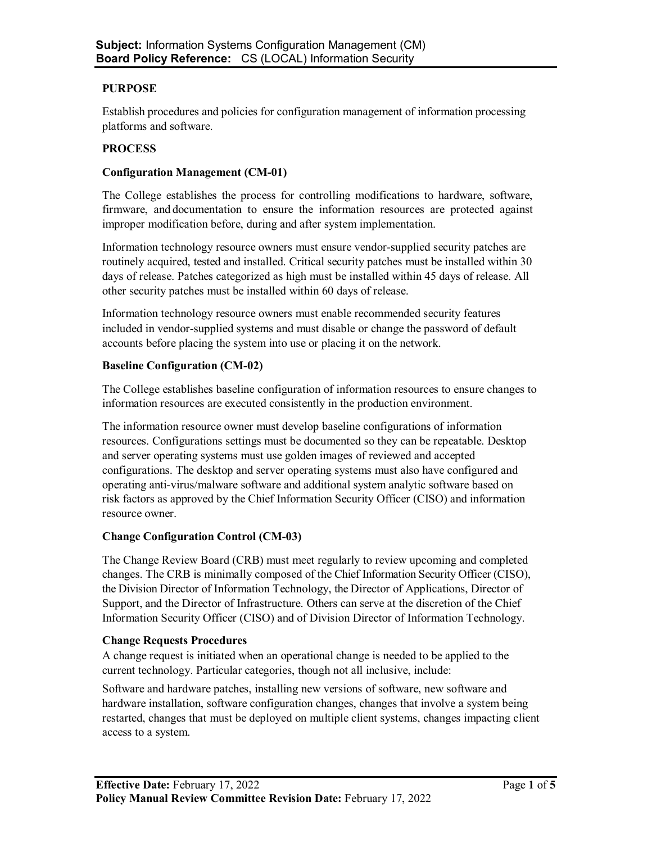# **PURPOSE**

Establish procedures and policies for configuration management of information processing platforms and software.

### **PROCESS**

### **Configuration Management (CM-01)**

The College establishes the process for controlling modifications to hardware, software, firmware, and documentation to ensure the information resources are protected against improper modification before, during and after system implementation.

Information technology resource owners must ensure vendor-supplied security patches are routinely acquired, tested and installed. Critical security patches must be installed within 30 days of release. Patches categorized as high must be installed within 45 days of release. All other security patches must be installed within 60 days of release.

Information technology resource owners must enable recommended security features included in vendor-supplied systems and must disable or change the password of default accounts before placing the system into use or placing it on the network.

# **Baseline Configuration (CM-02)**

The College establishes baseline configuration of information resources to ensure changes to information resources are executed consistently in the production environment.

The information resource owner must develop baseline configurations of information resources. Configurations settings must be documented so they can be repeatable. Desktop and server operating systems must use golden images of reviewed and accepted configurations. The desktop and server operating systems must also have configured and operating anti-virus/malware software and additional system analytic software based on risk factors as approved by the Chief Information Security Officer (CISO) and information resource owner.

### **Change Configuration Control (CM-03)**

The Change Review Board (CRB) must meet regularly to review upcoming and completed changes. The CRB is minimally composed of the Chief Information Security Officer (CISO), the Division Director of Information Technology, the Director of Applications, Director of Support, and the Director of Infrastructure. Others can serve at the discretion of the Chief Information Security Officer (CISO) and of Division Director of Information Technology.

### **Change Requests Procedures**

A change request is initiated when an operational change is needed to be applied to the current technology. Particular categories, though not all inclusive, include:

Software and hardware patches, installing new versions of software, new software and hardware installation, software configuration changes, changes that involve a system being restarted, changes that must be deployed on multiple client systems, changes impacting client access to a system.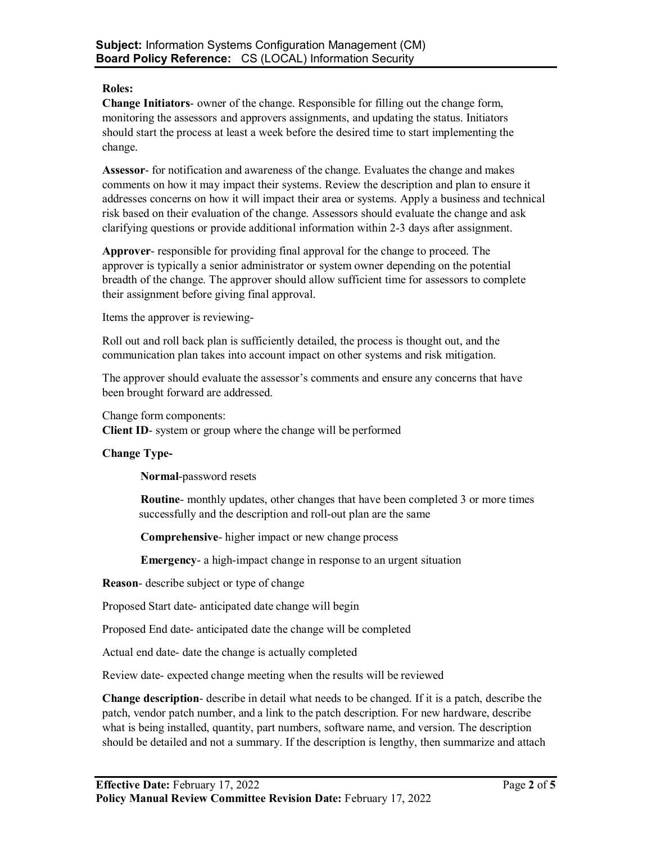#### **Roles:**

**Change Initiators**- owner of the change. Responsible for filling out the change form, monitoring the assessors and approvers assignments, and updating the status. Initiators should start the process at least a week before the desired time to start implementing the change.

**Assessor**- for notification and awareness of the change. Evaluates the change and makes comments on how it may impact their systems. Review the description and plan to ensure it addresses concerns on how it will impact their area or systems. Apply a business and technical risk based on their evaluation of the change. Assessors should evaluate the change and ask clarifying questions or provide additional information within 2-3 days after assignment.

**Approver**- responsible for providing final approval for the change to proceed. The approver is typically a senior administrator or system owner depending on the potential breadth of the change. The approver should allow sufficient time for assessors to complete their assignment before giving final approval.

Items the approver is reviewing-

Roll out and roll back plan is sufficiently detailed, the process is thought out, and the communication plan takes into account impact on other systems and risk mitigation.

The approver should evaluate the assessor's comments and ensure any concerns that have been brought forward are addressed.

Change form components:

**Client ID**- system or group where the change will be performed

### **Change Type-**

**Normal**-password resets

**Routine**- monthly updates, other changes that have been completed 3 or more times successfully and the description and roll-out plan are the same

**Comprehensive**- higher impact or new change process

**Emergency**- a high-impact change in response to an urgent situation

**Reason**- describe subject or type of change

Proposed Start date- anticipated date change will begin

Proposed End date- anticipated date the change will be completed

Actual end date- date the change is actually completed

Review date- expected change meeting when the results will be reviewed

**Change description**- describe in detail what needs to be changed. If it is a patch, describe the patch, vendor patch number, and a link to the patch description. For new hardware, describe what is being installed, quantity, part numbers, software name, and version. The description should be detailed and not a summary. If the description is lengthy, then summarize and attach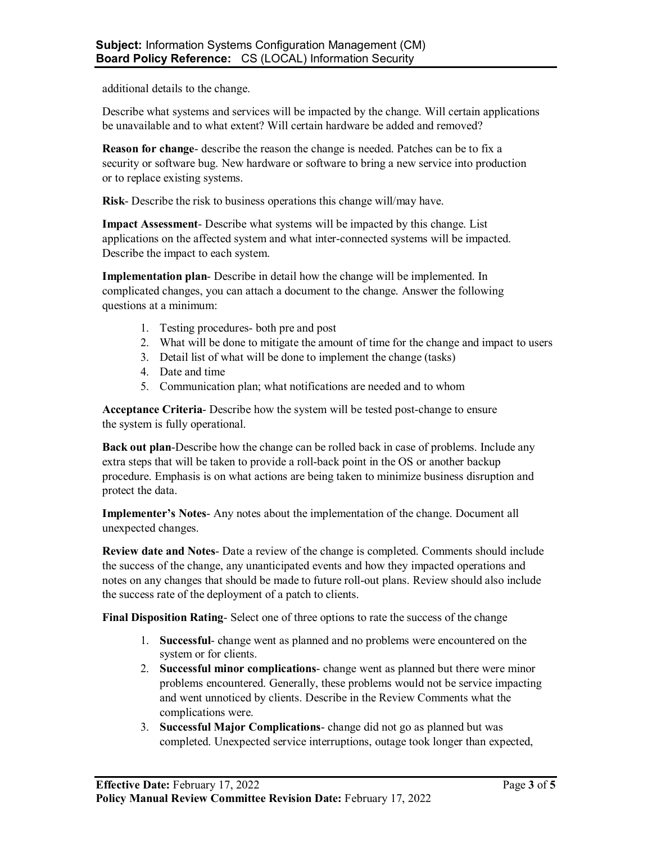additional details to the change.

Describe what systems and services will be impacted by the change. Will certain applications be unavailable and to what extent? Will certain hardware be added and removed?

**Reason for change**- describe the reason the change is needed. Patches can be to fix a security or software bug. New hardware or software to bring a new service into production or to replace existing systems.

**Risk**- Describe the risk to business operations this change will/may have.

**Impact Assessment**- Describe what systems will be impacted by this change. List applications on the affected system and what inter-connected systems will be impacted. Describe the impact to each system.

**Implementation plan**- Describe in detail how the change will be implemented. In complicated changes, you can attach a document to the change. Answer the following questions at a minimum:

- 1. Testing procedures- both pre and post
- 2. What will be done to mitigate the amount of time for the change and impact to users
- 3. Detail list of what will be done to implement the change (tasks)
- 4. Date and time
- 5. Communication plan; what notifications are needed and to whom

**Acceptance Criteria**- Describe how the system will be tested post-change to ensure the system is fully operational.

**Back out plan**-Describe how the change can be rolled back in case of problems. Include any extra steps that will be taken to provide a roll-back point in the OS or another backup procedure. Emphasis is on what actions are being taken to minimize business disruption and protect the data.

**Implementer's Notes**- Any notes about the implementation of the change. Document all unexpected changes.

**Review date and Notes**- Date a review of the change is completed. Comments should include the success of the change, any unanticipated events and how they impacted operations and notes on any changes that should be made to future roll-out plans. Review should also include the success rate of the deployment of a patch to clients.

**Final Disposition Rating**- Select one of three options to rate the success of the change

- 1. **Successful** change went as planned and no problems were encountered on the system or for clients.
- 2. **Successful minor complications** change went as planned but there were minor problems encountered. Generally, these problems would not be service impacting and went unnoticed by clients. Describe in the Review Comments what the complications were.
- 3. **Successful Major Complications** change did not go as planned but was completed. Unexpected service interruptions, outage took longer than expected,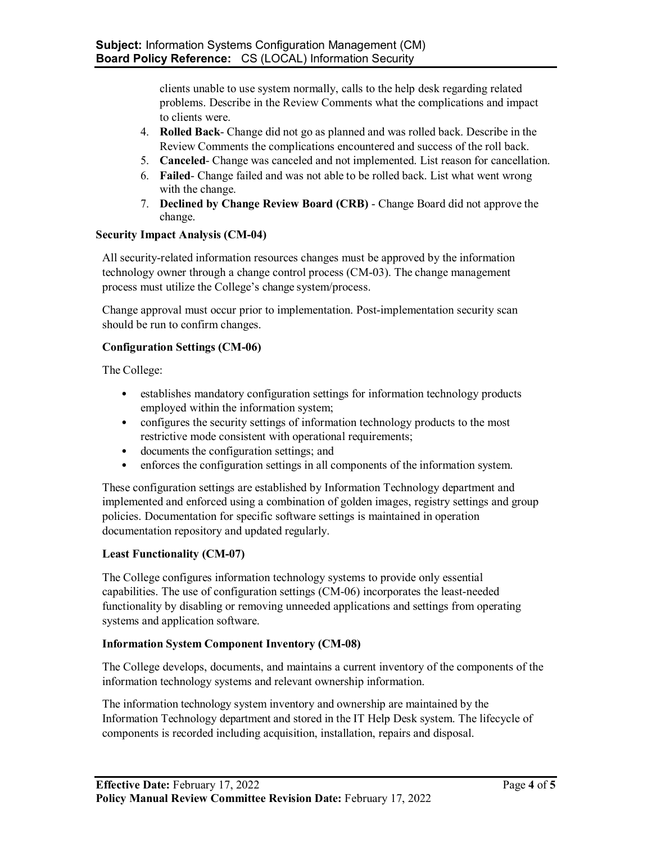clients unable to use system normally, calls to the help desk regarding related problems. Describe in the Review Comments what the complications and impact to clients were.

- 4. **Rolled Back** Change did not go as planned and was rolled back. Describe in the Review Comments the complications encountered and success of the roll back.
- 5. **Canceled** Change was canceled and not implemented. List reason for cancellation.
- 6. **Failed** Change failed and was not able to be rolled back. List what went wrong with the change.
- 7. **Declined by Change Review Board (CRB)** Change Board did not approve the change.

# **Security Impact Analysis (CM-04)**

All security-related information resources changes must be approved by the information technology owner through a change control process (CM-03). The change management process must utilize the College's change system/process.

Change approval must occur prior to implementation. Post-implementation security scan should be run to confirm changes.

# **Configuration Settings (CM-06)**

The College:

- establishes mandatory configuration settings for information technology products employed within the information system;
- configures the security settings of information technology products to the most restrictive mode consistent with operational requirements;
- documents the configuration settings; and
- enforces the configuration settings in all components of the information system.

These configuration settings are established by Information Technology department and implemented and enforced using a combination of golden images, registry settings and group policies. Documentation for specific software settings is maintained in operation documentation repository and updated regularly.

### **Least Functionality (CM-07)**

The College configures information technology systems to provide only essential capabilities. The use of configuration settings (CM-06) incorporates the least-needed functionality by disabling or removing unneeded applications and settings from operating systems and application software.

### **Information System Component Inventory (CM-08)**

The College develops, documents, and maintains a current inventory of the components of the information technology systems and relevant ownership information.

The information technology system inventory and ownership are maintained by the Information Technology department and stored in the IT Help Desk system. The lifecycle of components is recorded including acquisition, installation, repairs and disposal.